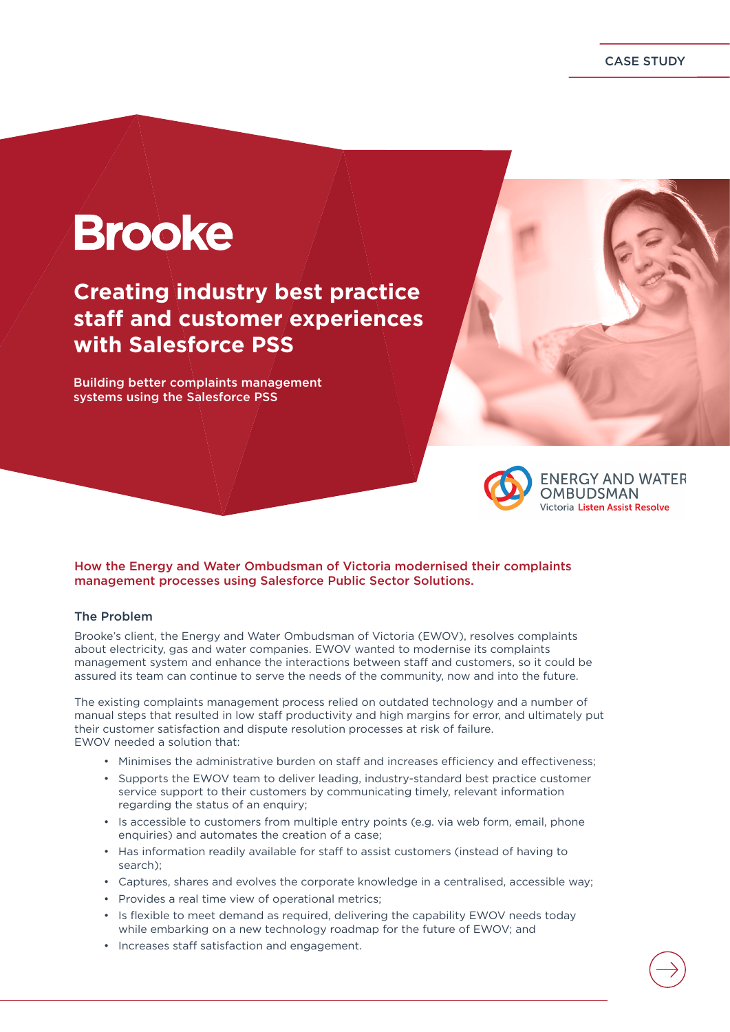CASE STUDY

# **Brooke**

**Creating industry best practice staff and customer experiences with Salesforce PSS**

Building better complaints management systems using the Salesforce PSS



**ENERGY AND WATER OMBUDSMAN** Victoria Listen Assist Resolve

## How the Energy and Water Ombudsman of Victoria modernised their complaints management processes using Salesforce Public Sector Solutions.

## The Problem

Brooke's client, the Energy and Water Ombudsman of Victoria (EWOV), resolves complaints about electricity, gas and water companies. EWOV wanted to modernise its complaints management system and enhance the interactions between staff and customers, so it could be assured its team can continue to serve the needs of the community, now and into the future.

The existing complaints management process relied on outdated technology and a number of manual steps that resulted in low staff productivity and high margins for error, and ultimately put their customer satisfaction and dispute resolution processes at risk of failure. EWOV needed a solution that:

- Minimises the administrative burden on staff and increases efficiency and effectiveness;
- Supports the EWOV team to deliver leading, industry-standard best practice customer service support to their customers by communicating timely, relevant information regarding the status of an enquiry;
- Is accessible to customers from multiple entry points (e.g. via web form, email, phone enquiries) and automates the creation of a case;
- Has information readily available for staff to assist customers (instead of having to search);
- Captures, shares and evolves the corporate knowledge in a centralised, accessible way;
- Provides a real time view of operational metrics;
- Is flexible to meet demand as required, delivering the capability EWOV needs today while embarking on a new technology roadmap for the future of EWOV; and
- Increases staff satisfaction and engagement.